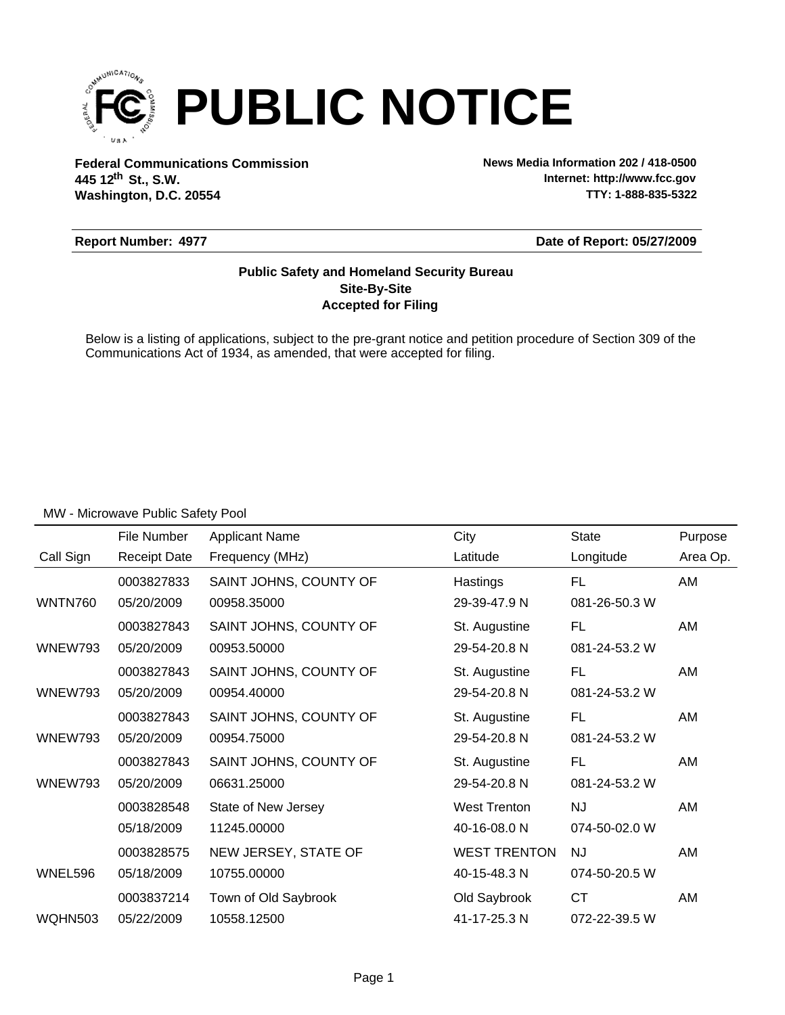

**Federal Communications Commission News Media Information 202 / 418-0500 Washington, D.C. 20554 th 445 12 St., S.W.**

**Internet: http://www.fcc.gov TTY: 1-888-835-5322**

#### **Report Number: 4977**

**Date of Report: 05/27/2009**

### **Accepted for Filing Site-By-Site Public Safety and Homeland Security Bureau**

Below is a listing of applications, subject to the pre-grant notice and petition procedure of Section 309 of the Communications Act of 1934, as amended, that were accepted for filing.

|                | File Number         | <b>Applicant Name</b>  | City                | <b>State</b>  | Purpose  |
|----------------|---------------------|------------------------|---------------------|---------------|----------|
| Call Sign      | <b>Receipt Date</b> | Frequency (MHz)        | Latitude            | Longitude     | Area Op. |
|                | 0003827833          | SAINT JOHNS, COUNTY OF | Hastings            | <b>FL</b>     | AM       |
| <b>WNTN760</b> | 05/20/2009          | 00958.35000            | 29-39-47.9 N        | 081-26-50.3 W |          |
|                | 0003827843          | SAINT JOHNS, COUNTY OF | St. Augustine       | <b>FL</b>     | AM       |
| <b>WNEW793</b> | 05/20/2009          | 00953.50000            | 29-54-20.8 N        | 081-24-53.2 W |          |
|                | 0003827843          | SAINT JOHNS, COUNTY OF | St. Augustine       | FL            | AM       |
| WNEW793        | 05/20/2009          | 00954.40000            | 29-54-20.8 N        | 081-24-53.2 W |          |
|                | 0003827843          | SAINT JOHNS, COUNTY OF | St. Augustine       | <b>FL</b>     | AM       |
| WNEW793        | 05/20/2009          | 00954.75000            | 29-54-20.8 N        | 081-24-53.2 W |          |
|                | 0003827843          | SAINT JOHNS, COUNTY OF | St. Augustine       | <b>FL</b>     | AM       |
| WNEW793        | 05/20/2009          | 06631.25000            | 29-54-20.8 N        | 081-24-53.2 W |          |
|                | 0003828548          | State of New Jersey    | <b>West Trenton</b> | <b>NJ</b>     | AM       |
|                | 05/18/2009          | 11245.00000            | 40-16-08.0 N        | 074-50-02.0 W |          |
|                | 0003828575          | NEW JERSEY, STATE OF   | <b>WEST TRENTON</b> | <b>NJ</b>     | AM       |
| WNEL596        | 05/18/2009          | 10755.00000            | 40-15-48.3 N        | 074-50-20.5 W |          |
|                | 0003837214          | Town of Old Saybrook   | Old Saybrook        | <b>CT</b>     | AM       |
| WQHN503        | 05/22/2009          | 10558.12500            | 41-17-25.3 N        | 072-22-39.5 W |          |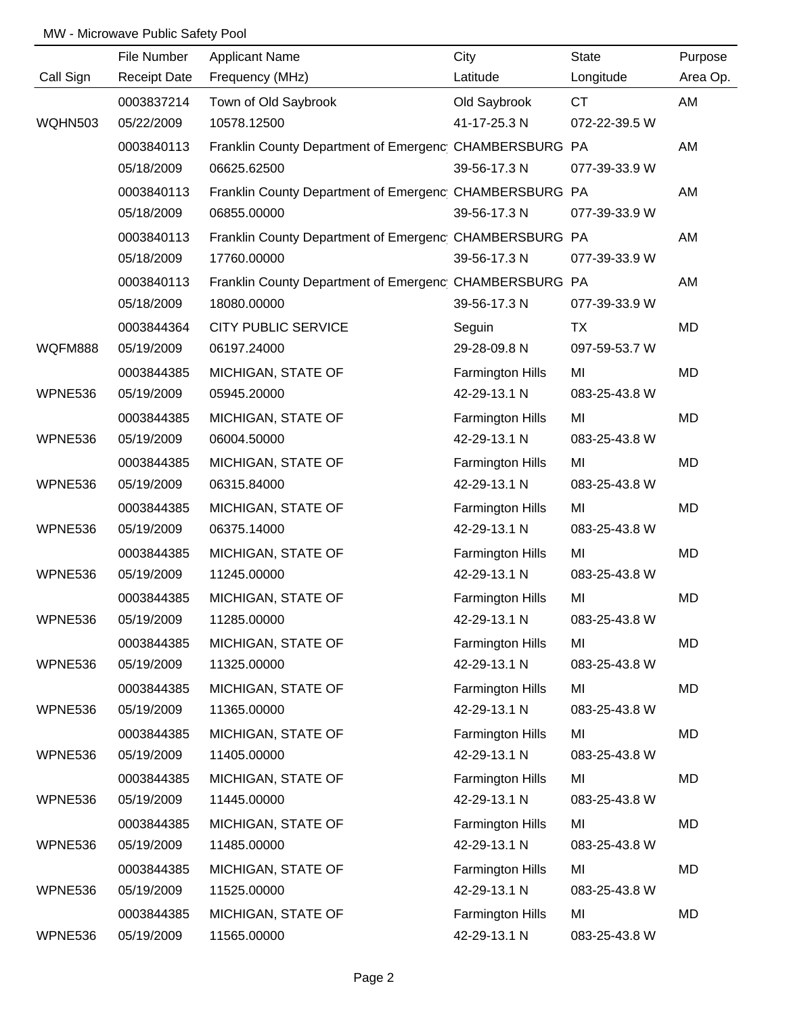|                | File Number         | <b>Applicant Name</b>                                  | City                    | <b>State</b>  | Purpose  |
|----------------|---------------------|--------------------------------------------------------|-------------------------|---------------|----------|
| Call Sign      | <b>Receipt Date</b> | Frequency (MHz)                                        | Latitude                | Longitude     | Area Op. |
|                | 0003837214          | Town of Old Saybrook                                   | Old Saybrook            | <b>CT</b>     | AM       |
| <b>WQHN503</b> | 05/22/2009          | 10578.12500                                            | 41-17-25.3 N            | 072-22-39.5 W |          |
|                | 0003840113          | Franklin County Department of Emergenc CHAMBERSBURG PA |                         |               | AM       |
|                | 05/18/2009          | 06625.62500                                            | 39-56-17.3 N            | 077-39-33.9 W |          |
|                | 0003840113          | Franklin County Department of Emergenc CHAMBERSBURG PA |                         |               | AM       |
|                | 05/18/2009          | 06855.00000                                            | 39-56-17.3 N            | 077-39-33.9 W |          |
|                | 0003840113          | Franklin County Department of Emergenc CHAMBERSBURG PA |                         |               | AM       |
|                | 05/18/2009          | 17760.00000                                            | 39-56-17.3 N            | 077-39-33.9 W |          |
|                | 0003840113          | Franklin County Department of Emergenc CHAMBERSBURG PA |                         |               | AM       |
|                | 05/18/2009          | 18080.00000                                            | 39-56-17.3 N            | 077-39-33.9 W |          |
|                | 0003844364          | <b>CITY PUBLIC SERVICE</b>                             | Seguin                  | <b>TX</b>     | MD       |
| WQFM888        | 05/19/2009          | 06197.24000                                            | 29-28-09.8 N            | 097-59-53.7 W |          |
|                | 0003844385          | MICHIGAN, STATE OF                                     | <b>Farmington Hills</b> | MI            | MD       |
| WPNE536        | 05/19/2009          | 05945.20000                                            | 42-29-13.1 N            | 083-25-43.8 W |          |
|                | 0003844385          | MICHIGAN, STATE OF                                     | <b>Farmington Hills</b> | MI            | MD       |
| WPNE536        | 05/19/2009          | 06004.50000                                            | 42-29-13.1 N            | 083-25-43.8 W |          |
|                | 0003844385          | MICHIGAN, STATE OF                                     | <b>Farmington Hills</b> | MI            | MD       |
| WPNE536        | 05/19/2009          | 06315.84000                                            | 42-29-13.1 N            | 083-25-43.8 W |          |
|                | 0003844385          | MICHIGAN, STATE OF                                     | Farmington Hills        | MI            | MD       |
| WPNE536        | 05/19/2009          | 06375.14000                                            | 42-29-13.1 N            | 083-25-43.8 W |          |
|                | 0003844385          | MICHIGAN, STATE OF                                     | <b>Farmington Hills</b> | MI            | MD       |
| WPNE536        | 05/19/2009          | 11245.00000                                            | 42-29-13.1 N            | 083-25-43.8 W |          |
|                | 0003844385          | MICHIGAN, STATE OF                                     | Farmington Hills        | MI            | MD       |
| WPNE536        | 05/19/2009          | 11285.00000                                            | 42-29-13.1 N            | 083-25-43.8 W |          |
|                | 0003844385          | MICHIGAN, STATE OF                                     | <b>Farmington Hills</b> | MI            | MD       |
| WPNE536        | 05/19/2009          | 11325.00000                                            | 42-29-13.1 N            | 083-25-43.8 W |          |
|                | 0003844385          | MICHIGAN, STATE OF                                     | <b>Farmington Hills</b> | MI            | MD       |
| WPNE536        | 05/19/2009          | 11365.00000                                            | 42-29-13.1 N            | 083-25-43.8 W |          |
|                | 0003844385          | MICHIGAN, STATE OF                                     | Farmington Hills        | MI            | MD       |
| WPNE536        | 05/19/2009          | 11405.00000                                            | 42-29-13.1 N            | 083-25-43.8 W |          |
|                | 0003844385          | MICHIGAN, STATE OF                                     | <b>Farmington Hills</b> | MI            | MD       |
| WPNE536        | 05/19/2009          | 11445.00000                                            | 42-29-13.1 N            | 083-25-43.8 W |          |
|                | 0003844385          | MICHIGAN, STATE OF                                     | <b>Farmington Hills</b> | MI            | MD       |
| WPNE536        | 05/19/2009          | 11485.00000                                            | 42-29-13.1 N            | 083-25-43.8 W |          |
|                | 0003844385          | MICHIGAN, STATE OF                                     | Farmington Hills        | MI            | MD       |
| WPNE536        | 05/19/2009          | 11525.00000                                            | 42-29-13.1 N            | 083-25-43.8 W |          |
|                | 0003844385          | MICHIGAN, STATE OF                                     | Farmington Hills        | MI            | MD       |
| WPNE536        | 05/19/2009          | 11565.00000                                            | 42-29-13.1 N            | 083-25-43.8 W |          |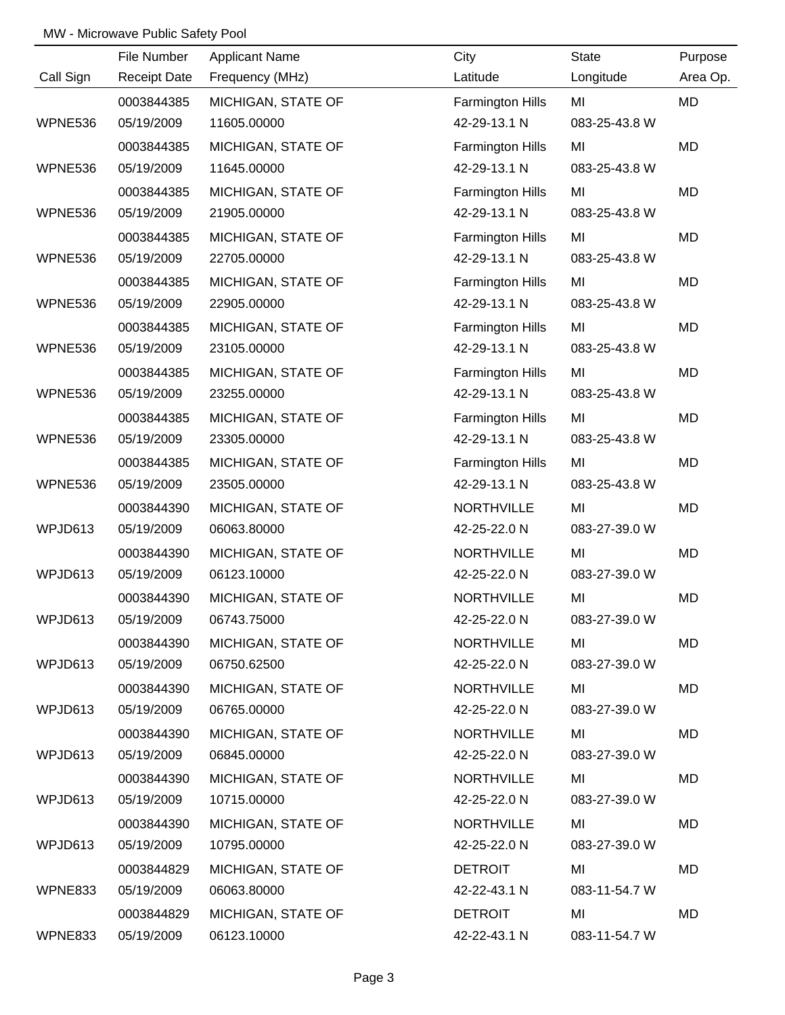|           | File Number         | <b>Applicant Name</b> | City                    | <b>State</b>  | Purpose   |
|-----------|---------------------|-----------------------|-------------------------|---------------|-----------|
| Call Sign | <b>Receipt Date</b> | Frequency (MHz)       | Latitude                | Longitude     | Area Op.  |
|           | 0003844385          | MICHIGAN, STATE OF    | Farmington Hills        | MI            | MD        |
| WPNE536   | 05/19/2009          | 11605.00000           | 42-29-13.1 N            | 083-25-43.8 W |           |
|           | 0003844385          | MICHIGAN, STATE OF    | Farmington Hills        | MI            | <b>MD</b> |
| WPNE536   | 05/19/2009          | 11645.00000           | 42-29-13.1 N            | 083-25-43.8 W |           |
|           | 0003844385          | MICHIGAN, STATE OF    | Farmington Hills        | MI            | MD        |
| WPNE536   | 05/19/2009          | 21905.00000           | 42-29-13.1 N            | 083-25-43.8 W |           |
|           | 0003844385          | MICHIGAN, STATE OF    | Farmington Hills        | MI            | MD        |
| WPNE536   | 05/19/2009          | 22705.00000           | 42-29-13.1 N            | 083-25-43.8 W |           |
|           | 0003844385          | MICHIGAN, STATE OF    | <b>Farmington Hills</b> | MI            | MD        |
| WPNE536   | 05/19/2009          | 22905.00000           | 42-29-13.1 N            | 083-25-43.8 W |           |
|           | 0003844385          | MICHIGAN, STATE OF    | <b>Farmington Hills</b> | MI            | MD        |
| WPNE536   | 05/19/2009          | 23105.00000           | 42-29-13.1 N            | 083-25-43.8 W |           |
|           | 0003844385          | MICHIGAN, STATE OF    | <b>Farmington Hills</b> | MI            | MD        |
| WPNE536   | 05/19/2009          | 23255.00000           | 42-29-13.1 N            | 083-25-43.8 W |           |
|           | 0003844385          | MICHIGAN, STATE OF    | Farmington Hills        | MI            | MD        |
| WPNE536   | 05/19/2009          | 23305.00000           | 42-29-13.1 N            | 083-25-43.8 W |           |
|           | 0003844385          | MICHIGAN, STATE OF    | Farmington Hills        | MI            | MD        |
| WPNE536   | 05/19/2009          | 23505.00000           | 42-29-13.1 N            | 083-25-43.8 W |           |
|           | 0003844390          | MICHIGAN, STATE OF    | <b>NORTHVILLE</b>       | MI            | MD        |
| WPJD613   | 05/19/2009          | 06063.80000           | 42-25-22.0 N            | 083-27-39.0 W |           |
|           | 0003844390          | MICHIGAN, STATE OF    | <b>NORTHVILLE</b>       | MI            | MD        |
| WPJD613   | 05/19/2009          | 06123.10000           | 42-25-22.0 N            | 083-27-39.0 W |           |
|           | 0003844390          | MICHIGAN, STATE OF    | <b>NORTHVILLE</b>       | MI            | MD        |
| WPJD613   | 05/19/2009          | 06743.75000           | 42-25-22.0 N            | 083-27-39.0 W |           |
|           | 0003844390          | MICHIGAN, STATE OF    | <b>NORTHVILLE</b>       | MI            | MD        |
| WPJD613   | 05/19/2009          | 06750.62500           | 42-25-22.0 N            | 083-27-39.0 W |           |
|           | 0003844390          | MICHIGAN, STATE OF    | <b>NORTHVILLE</b>       | MI            | MD        |
| WPJD613   | 05/19/2009          | 06765.00000           | 42-25-22.0 N            | 083-27-39.0 W |           |
|           | 0003844390          | MICHIGAN, STATE OF    | <b>NORTHVILLE</b>       | MI            | MD        |
| WPJD613   | 05/19/2009          | 06845.00000           | 42-25-22.0 N            | 083-27-39.0 W |           |
|           | 0003844390          | MICHIGAN, STATE OF    | <b>NORTHVILLE</b>       | MI            | MD        |
| WPJD613   | 05/19/2009          | 10715.00000           | 42-25-22.0 N            | 083-27-39.0 W |           |
|           | 0003844390          | MICHIGAN, STATE OF    | <b>NORTHVILLE</b>       | MI            | MD        |
| WPJD613   | 05/19/2009          | 10795.00000           | 42-25-22.0 N            | 083-27-39.0 W |           |
|           | 0003844829          | MICHIGAN, STATE OF    | <b>DETROIT</b>          | MI            | MD        |
| WPNE833   | 05/19/2009          | 06063.80000           | 42-22-43.1 N            | 083-11-54.7 W |           |
|           | 0003844829          | MICHIGAN, STATE OF    | <b>DETROIT</b>          | MI            | MD        |
| WPNE833   | 05/19/2009          | 06123.10000           | 42-22-43.1 N            | 083-11-54.7 W |           |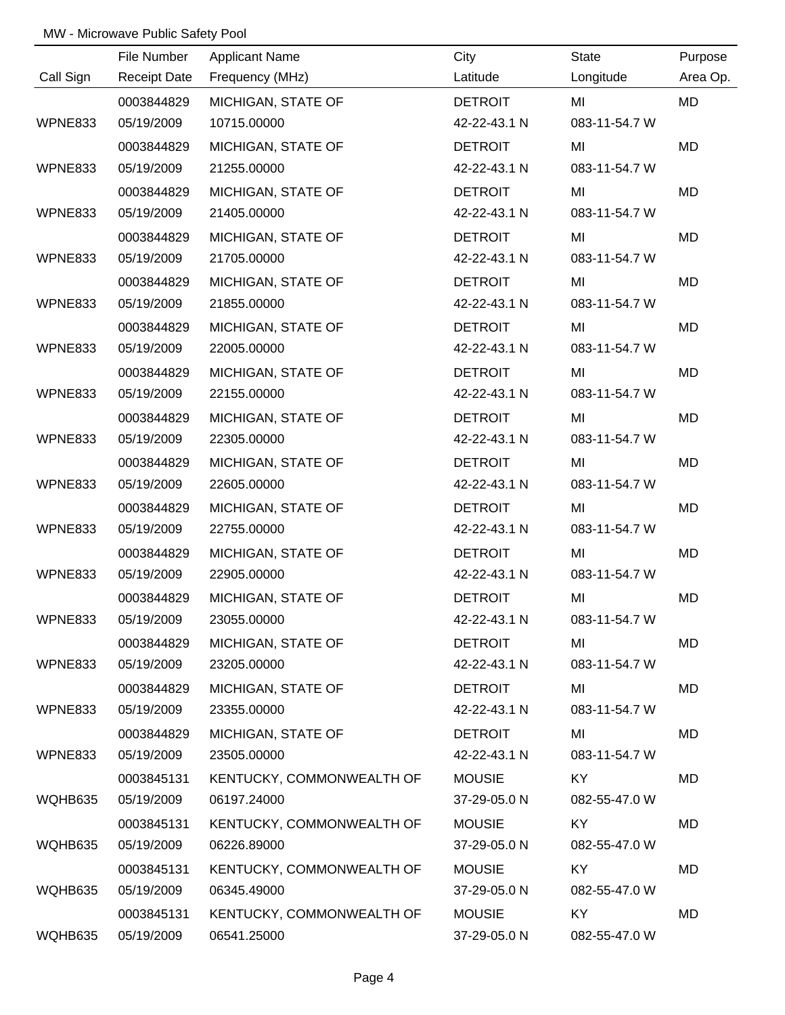|                | File Number         | <b>Applicant Name</b>     | City           | State         | Purpose   |
|----------------|---------------------|---------------------------|----------------|---------------|-----------|
| Call Sign      | <b>Receipt Date</b> | Frequency (MHz)           | Latitude       | Longitude     | Area Op.  |
|                | 0003844829          | MICHIGAN, STATE OF        | <b>DETROIT</b> | MI            | <b>MD</b> |
| WPNE833        | 05/19/2009          | 10715.00000               | 42-22-43.1 N   | 083-11-54.7 W |           |
|                | 0003844829          | MICHIGAN, STATE OF        | <b>DETROIT</b> | MI            | <b>MD</b> |
| WPNE833        | 05/19/2009          | 21255.00000               | 42-22-43.1 N   | 083-11-54.7 W |           |
|                | 0003844829          | MICHIGAN, STATE OF        | <b>DETROIT</b> | MI            | MD        |
| WPNE833        | 05/19/2009          | 21405.00000               | 42-22-43.1 N   | 083-11-54.7 W |           |
|                | 0003844829          | MICHIGAN, STATE OF        | <b>DETROIT</b> | MI            | MD        |
| WPNE833        | 05/19/2009          | 21705.00000               | 42-22-43.1 N   | 083-11-54.7 W |           |
|                | 0003844829          | MICHIGAN, STATE OF        | <b>DETROIT</b> | MI            | MD        |
| WPNE833        | 05/19/2009          | 21855.00000               | 42-22-43.1 N   | 083-11-54.7 W |           |
|                | 0003844829          | MICHIGAN, STATE OF        | <b>DETROIT</b> | MI            | MD        |
| WPNE833        | 05/19/2009          | 22005.00000               | 42-22-43.1 N   | 083-11-54.7 W |           |
|                | 0003844829          | MICHIGAN, STATE OF        | <b>DETROIT</b> | MI            | MD        |
| <b>WPNE833</b> | 05/19/2009          | 22155.00000               | 42-22-43.1 N   | 083-11-54.7 W |           |
|                | 0003844829          | MICHIGAN, STATE OF        | <b>DETROIT</b> | MI            | MD        |
| WPNE833        | 05/19/2009          | 22305.00000               | 42-22-43.1 N   | 083-11-54.7 W |           |
|                | 0003844829          | MICHIGAN, STATE OF        | <b>DETROIT</b> | MI            | MD        |
| WPNE833        | 05/19/2009          | 22605.00000               | 42-22-43.1 N   | 083-11-54.7 W |           |
|                | 0003844829          | MICHIGAN, STATE OF        | <b>DETROIT</b> | MI            | MD        |
| WPNE833        | 05/19/2009          | 22755.00000               | 42-22-43.1 N   | 083-11-54.7 W |           |
|                | 0003844829          | MICHIGAN, STATE OF        | <b>DETROIT</b> | MI            | MD        |
| WPNE833        | 05/19/2009          | 22905.00000               | 42-22-43.1 N   | 083-11-54.7 W |           |
|                | 0003844829          | MICHIGAN, STATE OF        | <b>DETROIT</b> | MI            | <b>MD</b> |
| WPNE833        | 05/19/2009          | 23055.00000               | 42-22-43.1 N   | 083-11-54.7 W |           |
|                | 0003844829          | MICHIGAN, STATE OF        | <b>DETROIT</b> | MI            | MD        |
| WPNE833        | 05/19/2009          | 23205.00000               | 42-22-43.1 N   | 083-11-54.7 W |           |
|                | 0003844829          | MICHIGAN, STATE OF        | <b>DETROIT</b> | MI            | MD        |
| WPNE833        | 05/19/2009          | 23355.00000               | 42-22-43.1 N   | 083-11-54.7 W |           |
|                | 0003844829          | MICHIGAN, STATE OF        | <b>DETROIT</b> | MI            | MD        |
| WPNE833        | 05/19/2009          | 23505.00000               | 42-22-43.1 N   | 083-11-54.7 W |           |
|                | 0003845131          | KENTUCKY, COMMONWEALTH OF | <b>MOUSIE</b>  | KY            | MD        |
| WQHB635        | 05/19/2009          | 06197.24000               | 37-29-05.0 N   | 082-55-47.0 W |           |
|                | 0003845131          | KENTUCKY, COMMONWEALTH OF | <b>MOUSIE</b>  | KY            | MD        |
| WQHB635        | 05/19/2009          | 06226.89000               | 37-29-05.0 N   | 082-55-47.0 W |           |
|                | 0003845131          | KENTUCKY, COMMONWEALTH OF | <b>MOUSIE</b>  | KY            | MD        |
| WQHB635        | 05/19/2009          | 06345.49000               | 37-29-05.0 N   | 082-55-47.0 W |           |
|                | 0003845131          | KENTUCKY, COMMONWEALTH OF | <b>MOUSIE</b>  | KY.           | MD        |
| WQHB635        | 05/19/2009          | 06541.25000               | 37-29-05.0 N   | 082-55-47.0 W |           |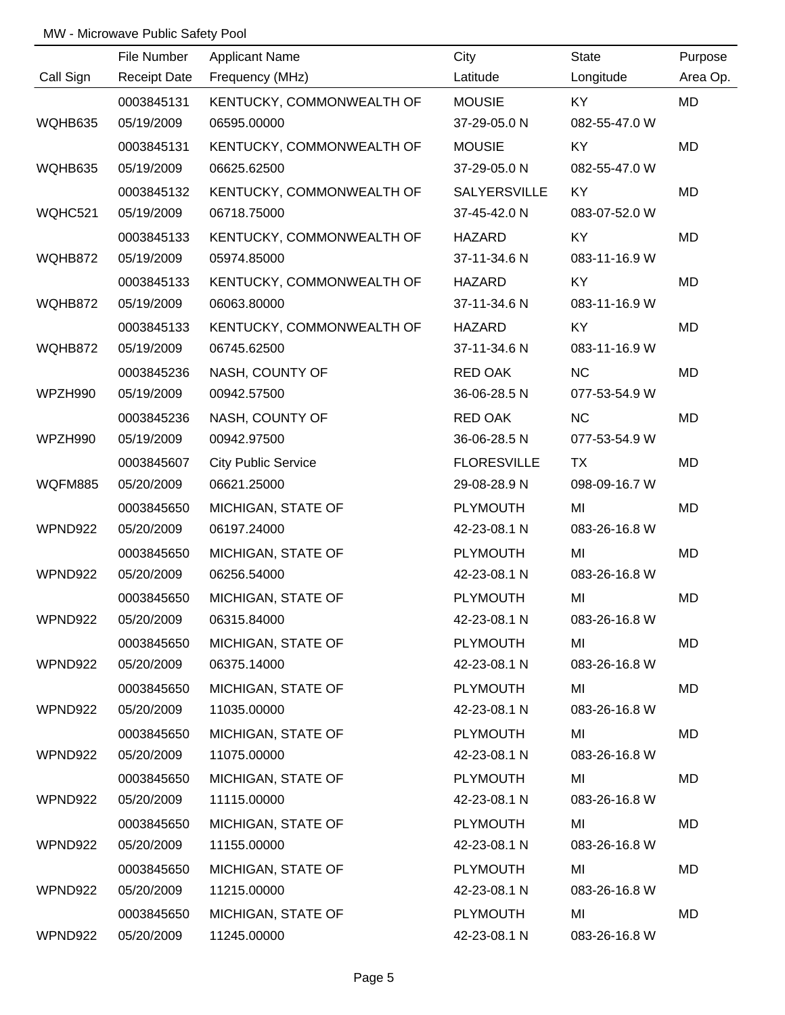|           | File Number         | <b>Applicant Name</b>      | City                | State         | Purpose   |
|-----------|---------------------|----------------------------|---------------------|---------------|-----------|
| Call Sign | <b>Receipt Date</b> | Frequency (MHz)            | Latitude            | Longitude     | Area Op.  |
|           | 0003845131          | KENTUCKY, COMMONWEALTH OF  | <b>MOUSIE</b>       | KY            | <b>MD</b> |
| WQHB635   | 05/19/2009          | 06595.00000                | 37-29-05.0 N        | 082-55-47.0 W |           |
|           | 0003845131          | KENTUCKY, COMMONWEALTH OF  | <b>MOUSIE</b>       | KY            | <b>MD</b> |
| WQHB635   | 05/19/2009          | 06625.62500                | 37-29-05.0 N        | 082-55-47.0 W |           |
|           | 0003845132          | KENTUCKY, COMMONWEALTH OF  | <b>SALYERSVILLE</b> | KY            | MD        |
| WQHC521   | 05/19/2009          | 06718.75000                | 37-45-42.0 N        | 083-07-52.0 W |           |
|           | 0003845133          | KENTUCKY, COMMONWEALTH OF  | HAZARD              | KY            | MD        |
| WQHB872   | 05/19/2009          | 05974.85000                | 37-11-34.6 N        | 083-11-16.9 W |           |
|           | 0003845133          | KENTUCKY, COMMONWEALTH OF  | <b>HAZARD</b>       | KY            | MD        |
| WQHB872   | 05/19/2009          | 06063.80000                | 37-11-34.6 N        | 083-11-16.9 W |           |
|           | 0003845133          | KENTUCKY, COMMONWEALTH OF  | <b>HAZARD</b>       | KY            | MD        |
| WQHB872   | 05/19/2009          | 06745.62500                | 37-11-34.6 N        | 083-11-16.9 W |           |
|           | 0003845236          | NASH, COUNTY OF            | RED OAK             | <b>NC</b>     | MD        |
| WPZH990   | 05/19/2009          | 00942.57500                | 36-06-28.5 N        | 077-53-54.9 W |           |
|           | 0003845236          | NASH, COUNTY OF            | RED OAK             | NC            | MD        |
| WPZH990   | 05/19/2009          | 00942.97500                | 36-06-28.5 N        | 077-53-54.9 W |           |
|           | 0003845607          | <b>City Public Service</b> | <b>FLORESVILLE</b>  | <b>TX</b>     | MD        |
| WQFM885   | 05/20/2009          | 06621.25000                | 29-08-28.9 N        | 098-09-16.7 W |           |
|           | 0003845650          | MICHIGAN, STATE OF         | <b>PLYMOUTH</b>     | MI            | MD        |
| WPND922   | 05/20/2009          | 06197.24000                | 42-23-08.1 N        | 083-26-16.8 W |           |
|           | 0003845650          | MICHIGAN, STATE OF         | <b>PLYMOUTH</b>     | MI            | MD        |
| WPND922   | 05/20/2009          | 06256.54000                | 42-23-08.1 N        | 083-26-16.8 W |           |
|           | 0003845650          | MICHIGAN, STATE OF         | <b>PLYMOUTH</b>     | MI            | MD        |
| WPND922   | 05/20/2009          | 06315.84000                | 42-23-08.1 N        | 083-26-16.8 W |           |
|           | 0003845650          | MICHIGAN, STATE OF         | <b>PLYMOUTH</b>     | MI            | MD        |
| WPND922   | 05/20/2009          | 06375.14000                | 42-23-08.1 N        | 083-26-16.8 W |           |
|           | 0003845650          | MICHIGAN, STATE OF         | <b>PLYMOUTH</b>     | MI            | MD        |
| WPND922   | 05/20/2009          | 11035.00000                | 42-23-08.1 N        | 083-26-16.8 W |           |
|           | 0003845650          | MICHIGAN, STATE OF         | <b>PLYMOUTH</b>     | MI            | MD        |
| WPND922   | 05/20/2009          | 11075.00000                | 42-23-08.1 N        | 083-26-16.8 W |           |
|           | 0003845650          | MICHIGAN, STATE OF         | <b>PLYMOUTH</b>     | MI            | MD        |
| WPND922   | 05/20/2009          | 11115.00000                | 42-23-08.1 N        | 083-26-16.8 W |           |
|           | 0003845650          | MICHIGAN, STATE OF         | <b>PLYMOUTH</b>     | MI            | MD        |
| WPND922   | 05/20/2009          | 11155.00000                | 42-23-08.1 N        | 083-26-16.8 W |           |
|           | 0003845650          | MICHIGAN, STATE OF         | <b>PLYMOUTH</b>     | MI            | MD        |
| WPND922   | 05/20/2009          | 11215.00000                | 42-23-08.1 N        | 083-26-16.8 W |           |
|           | 0003845650          | MICHIGAN, STATE OF         | <b>PLYMOUTH</b>     | MI            | MD        |
| WPND922   | 05/20/2009          | 11245.00000                | 42-23-08.1 N        | 083-26-16.8 W |           |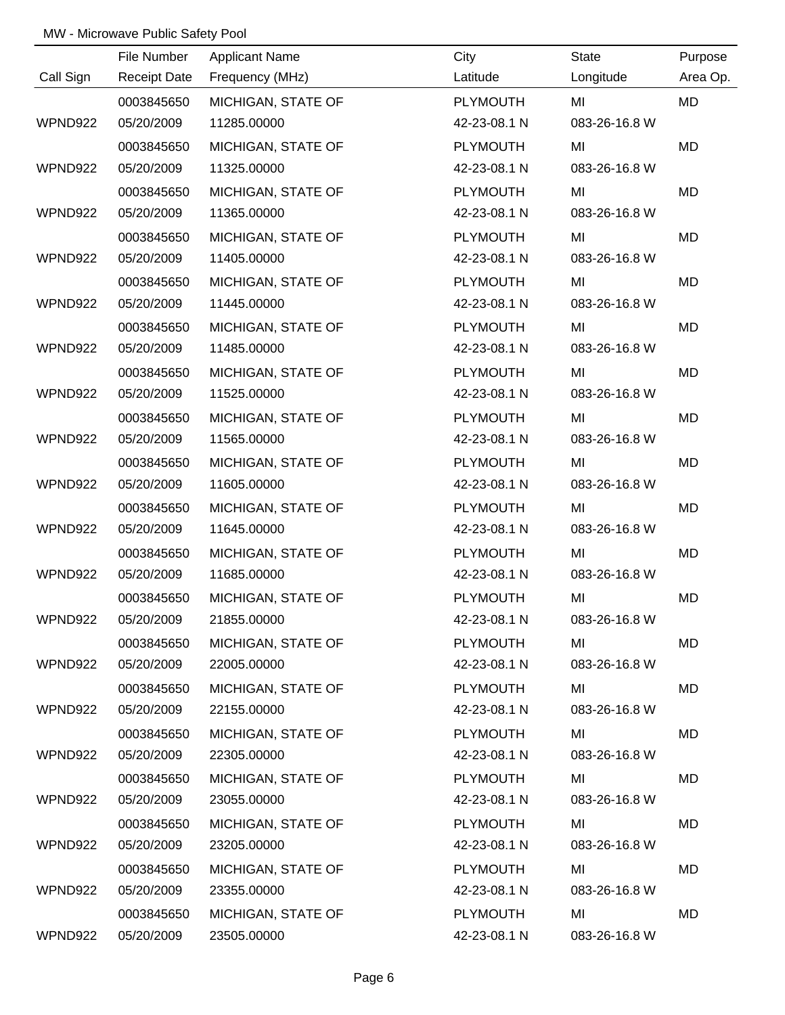|           | File Number         | <b>Applicant Name</b> | City            | <b>State</b>  | Purpose   |
|-----------|---------------------|-----------------------|-----------------|---------------|-----------|
| Call Sign | <b>Receipt Date</b> | Frequency (MHz)       | Latitude        | Longitude     | Area Op.  |
|           | 0003845650          | MICHIGAN, STATE OF    | <b>PLYMOUTH</b> | MI            | MD        |
| WPND922   | 05/20/2009          | 11285.00000           | 42-23-08.1 N    | 083-26-16.8 W |           |
|           | 0003845650          | MICHIGAN, STATE OF    | <b>PLYMOUTH</b> | MI            | MD        |
| WPND922   | 05/20/2009          | 11325.00000           | 42-23-08.1 N    | 083-26-16.8 W |           |
|           | 0003845650          | MICHIGAN, STATE OF    | <b>PLYMOUTH</b> | MI            | <b>MD</b> |
| WPND922   | 05/20/2009          | 11365.00000           | 42-23-08.1 N    | 083-26-16.8 W |           |
|           | 0003845650          | MICHIGAN, STATE OF    | <b>PLYMOUTH</b> | MI            | MD        |
| WPND922   | 05/20/2009          | 11405.00000           | 42-23-08.1 N    | 083-26-16.8 W |           |
|           | 0003845650          | MICHIGAN, STATE OF    | <b>PLYMOUTH</b> | MI            | MD        |
| WPND922   | 05/20/2009          | 11445.00000           | 42-23-08.1 N    | 083-26-16.8 W |           |
|           | 0003845650          | MICHIGAN, STATE OF    | <b>PLYMOUTH</b> | MI            | MD        |
| WPND922   | 05/20/2009          | 11485.00000           | 42-23-08.1 N    | 083-26-16.8 W |           |
|           | 0003845650          | MICHIGAN, STATE OF    | <b>PLYMOUTH</b> | MI            | MD        |
| WPND922   | 05/20/2009          | 11525.00000           | 42-23-08.1 N    | 083-26-16.8 W |           |
|           | 0003845650          | MICHIGAN, STATE OF    | <b>PLYMOUTH</b> | MI            | MD        |
| WPND922   | 05/20/2009          | 11565.00000           | 42-23-08.1 N    | 083-26-16.8 W |           |
|           | 0003845650          | MICHIGAN, STATE OF    | <b>PLYMOUTH</b> | MI            | MD        |
| WPND922   | 05/20/2009          | 11605.00000           | 42-23-08.1 N    | 083-26-16.8 W |           |
|           | 0003845650          | MICHIGAN, STATE OF    | <b>PLYMOUTH</b> | MI            | MD        |
| WPND922   | 05/20/2009          | 11645.00000           | 42-23-08.1 N    | 083-26-16.8 W |           |
|           | 0003845650          | MICHIGAN, STATE OF    | <b>PLYMOUTH</b> | MI            | MD        |
| WPND922   | 05/20/2009          | 11685.00000           | 42-23-08.1 N    | 083-26-16.8 W |           |
|           | 0003845650          | MICHIGAN, STATE OF    | PLYMOUTH        | MI            | MD        |
| WPND922   | 05/20/2009          | 21855.00000           | 42-23-08.1 N    | 083-26-16.8 W |           |
|           | 0003845650          | MICHIGAN, STATE OF    | <b>PLYMOUTH</b> | MI            | MD        |
| WPND922   | 05/20/2009          | 22005.00000           | 42-23-08.1 N    | 083-26-16.8 W |           |
|           | 0003845650          | MICHIGAN, STATE OF    | <b>PLYMOUTH</b> | MI            | MD        |
| WPND922   | 05/20/2009          | 22155.00000           | 42-23-08.1 N    | 083-26-16.8 W |           |
|           | 0003845650          | MICHIGAN, STATE OF    | <b>PLYMOUTH</b> | MI            | MD        |
| WPND922   | 05/20/2009          | 22305.00000           | 42-23-08.1 N    | 083-26-16.8 W |           |
|           | 0003845650          | MICHIGAN, STATE OF    | <b>PLYMOUTH</b> | MI            | MD        |
| WPND922   | 05/20/2009          | 23055.00000           | 42-23-08.1 N    | 083-26-16.8 W |           |
|           | 0003845650          | MICHIGAN, STATE OF    | <b>PLYMOUTH</b> | MI            | MD        |
| WPND922   | 05/20/2009          | 23205.00000           | 42-23-08.1 N    | 083-26-16.8 W |           |
|           | 0003845650          | MICHIGAN, STATE OF    | <b>PLYMOUTH</b> | MI            | MD        |
| WPND922   | 05/20/2009          | 23355.00000           | 42-23-08.1 N    | 083-26-16.8 W |           |
|           | 0003845650          | MICHIGAN, STATE OF    | <b>PLYMOUTH</b> | MI            | MD        |
| WPND922   | 05/20/2009          | 23505.00000           | 42-23-08.1 N    | 083-26-16.8 W |           |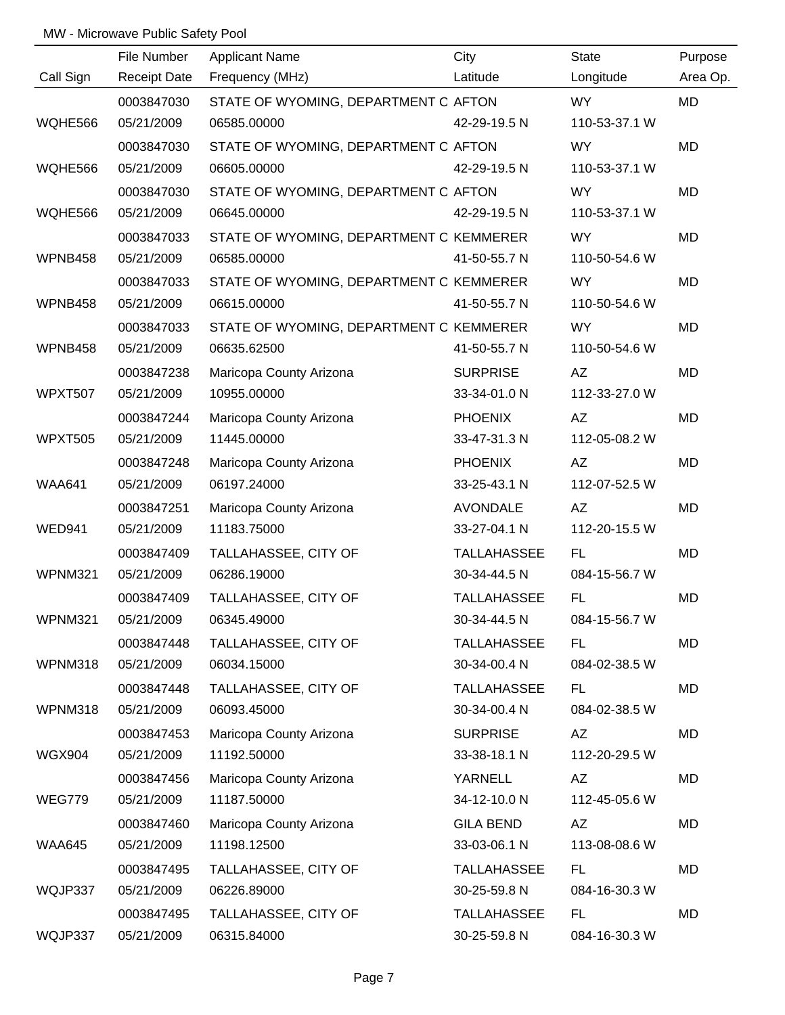|                | File Number         | <b>Applicant Name</b>                   | City               | State         | Purpose   |
|----------------|---------------------|-----------------------------------------|--------------------|---------------|-----------|
| Call Sign      | <b>Receipt Date</b> | Frequency (MHz)                         | Latitude           | Longitude     | Area Op.  |
|                | 0003847030          | STATE OF WYOMING, DEPARTMENT C AFTON    |                    | <b>WY</b>     | MD        |
| WQHE566        | 05/21/2009          | 06585.00000                             | 42-29-19.5 N       | 110-53-37.1 W |           |
|                | 0003847030          | STATE OF WYOMING, DEPARTMENT C AFTON    |                    | WY            | <b>MD</b> |
| WQHE566        | 05/21/2009          | 06605.00000                             | 42-29-19.5 N       | 110-53-37.1 W |           |
|                | 0003847030          | STATE OF WYOMING, DEPARTMENT C AFTON    |                    | <b>WY</b>     | MD        |
| WQHE566        | 05/21/2009          | 06645.00000                             | 42-29-19.5 N       | 110-53-37.1 W |           |
|                | 0003847033          | STATE OF WYOMING, DEPARTMENT C KEMMERER |                    | WY            | MD        |
| WPNB458        | 05/21/2009          | 06585.00000                             | 41-50-55.7 N       | 110-50-54.6 W |           |
|                | 0003847033          | STATE OF WYOMING, DEPARTMENT C KEMMERER |                    | <b>WY</b>     | MD        |
| WPNB458        | 05/21/2009          | 06615.00000                             | 41-50-55.7 N       | 110-50-54.6 W |           |
|                | 0003847033          | STATE OF WYOMING, DEPARTMENT C KEMMERER |                    | <b>WY</b>     | <b>MD</b> |
| WPNB458        | 05/21/2009          | 06635.62500                             | 41-50-55.7 N       | 110-50-54.6 W |           |
|                | 0003847238          | Maricopa County Arizona                 | <b>SURPRISE</b>    | AZ            | MD        |
| <b>WPXT507</b> | 05/21/2009          | 10955.00000                             | 33-34-01.0 N       | 112-33-27.0 W |           |
|                | 0003847244          | Maricopa County Arizona                 | <b>PHOENIX</b>     | AZ            | MD        |
| <b>WPXT505</b> | 05/21/2009          | 11445.00000                             | 33-47-31.3 N       | 112-05-08.2 W |           |
|                | 0003847248          | Maricopa County Arizona                 | <b>PHOENIX</b>     | AZ            | MD        |
| <b>WAA641</b>  | 05/21/2009          | 06197.24000                             | 33-25-43.1 N       | 112-07-52.5 W |           |
|                | 0003847251          | Maricopa County Arizona                 | AVONDALE           | AZ            | MD        |
| <b>WED941</b>  | 05/21/2009          | 11183.75000                             | 33-27-04.1 N       | 112-20-15.5 W |           |
|                | 0003847409          | TALLAHASSEE, CITY OF                    | <b>TALLAHASSEE</b> | FL.           | MD        |
| <b>WPNM321</b> | 05/21/2009          | 06286.19000                             | 30-34-44.5 N       | 084-15-56.7 W |           |
|                | 0003847409          | TALLAHASSEE, CITY OF                    | <b>TALLAHASSEE</b> | FL.           | MD        |
| WPNM321        | 05/21/2009          | 06345.49000                             | 30-34-44.5 N       | 084-15-56.7 W |           |
|                | 0003847448          | TALLAHASSEE, CITY OF                    | <b>TALLAHASSEE</b> | FL.           | MD        |
| WPNM318        | 05/21/2009          | 06034.15000                             | 30-34-00.4 N       | 084-02-38.5 W |           |
|                | 0003847448          | TALLAHASSEE, CITY OF                    | <b>TALLAHASSEE</b> | FL.           | MD        |
| WPNM318        | 05/21/2009          | 06093.45000                             | 30-34-00.4 N       | 084-02-38.5 W |           |
|                | 0003847453          | Maricopa County Arizona                 | <b>SURPRISE</b>    | AZ            | MD        |
| <b>WGX904</b>  | 05/21/2009          | 11192.50000                             | 33-38-18.1 N       | 112-20-29.5 W |           |
|                | 0003847456          | Maricopa County Arizona                 | YARNELL            | <b>AZ</b>     | MD        |
| WEG779         | 05/21/2009          | 11187.50000                             | 34-12-10.0 N       | 112-45-05.6 W |           |
|                | 0003847460          | Maricopa County Arizona                 | <b>GILA BEND</b>   | AZ            | MD        |
| <b>WAA645</b>  | 05/21/2009          | 11198.12500                             | 33-03-06.1 N       | 113-08-08.6 W |           |
|                | 0003847495          | TALLAHASSEE, CITY OF                    | <b>TALLAHASSEE</b> | FL.           | MD        |
| WQJP337        | 05/21/2009          | 06226.89000                             | 30-25-59.8 N       | 084-16-30.3 W |           |
|                | 0003847495          | TALLAHASSEE, CITY OF                    | <b>TALLAHASSEE</b> | FL.           | MD        |
| WQJP337        | 05/21/2009          | 06315.84000                             | 30-25-59.8 N       | 084-16-30.3 W |           |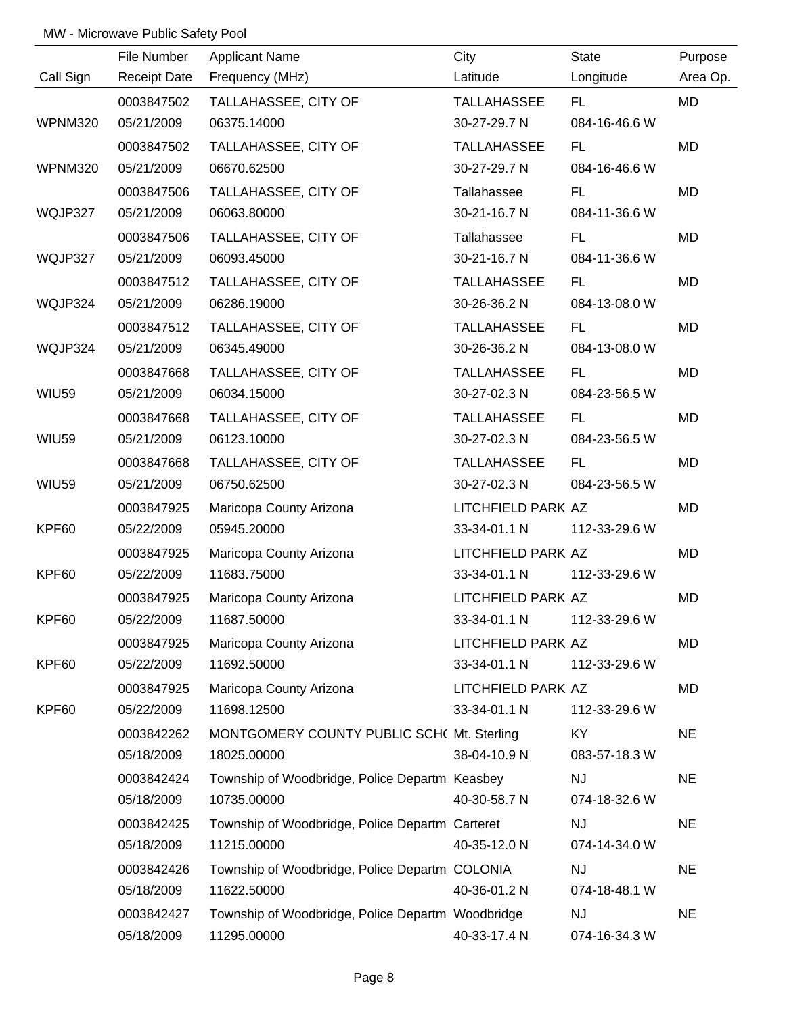|                | File Number         | <b>Applicant Name</b>                             | City               | State         | Purpose   |
|----------------|---------------------|---------------------------------------------------|--------------------|---------------|-----------|
| Call Sign      | <b>Receipt Date</b> | Frequency (MHz)                                   | Latitude           | Longitude     | Area Op.  |
|                | 0003847502          | TALLAHASSEE, CITY OF                              | TALLAHASSEE        | FL.           | MD        |
| <b>WPNM320</b> | 05/21/2009          | 06375.14000                                       | 30-27-29.7 N       | 084-16-46.6 W |           |
|                | 0003847502          | TALLAHASSEE, CITY OF                              | TALLAHASSEE        | FL.           | MD        |
| <b>WPNM320</b> | 05/21/2009          | 06670.62500                                       | 30-27-29.7 N       | 084-16-46.6 W |           |
|                | 0003847506          | TALLAHASSEE, CITY OF                              | Tallahassee        | FL.           | MD        |
| WQJP327        | 05/21/2009          | 06063.80000                                       | 30-21-16.7 N       | 084-11-36.6 W |           |
|                | 0003847506          | TALLAHASSEE, CITY OF                              | Tallahassee        | FL.           | MD        |
| WQJP327        | 05/21/2009          | 06093.45000                                       | 30-21-16.7 N       | 084-11-36.6 W |           |
|                | 0003847512          | TALLAHASSEE, CITY OF                              | TALLAHASSEE        | FL.           | MD        |
| WQJP324        | 05/21/2009          | 06286.19000                                       | 30-26-36.2 N       | 084-13-08.0 W |           |
|                | 0003847512          | TALLAHASSEE, CITY OF                              | TALLAHASSEE        | FL.           | MD        |
| WQJP324        | 05/21/2009          | 06345.49000                                       | 30-26-36.2 N       | 084-13-08.0 W |           |
|                | 0003847668          | TALLAHASSEE, CITY OF                              | TALLAHASSEE        | FL.           | MD        |
| <b>WIU59</b>   | 05/21/2009          | 06034.15000                                       | 30-27-02.3 N       | 084-23-56.5 W |           |
|                | 0003847668          | TALLAHASSEE, CITY OF                              | TALLAHASSEE        | FL.           | MD        |
| <b>WIU59</b>   | 05/21/2009          | 06123.10000                                       | 30-27-02.3 N       | 084-23-56.5 W |           |
|                | 0003847668          | TALLAHASSEE, CITY OF                              | TALLAHASSEE        | FL.           | MD        |
| <b>WIU59</b>   | 05/21/2009          | 06750.62500                                       | 30-27-02.3 N       | 084-23-56.5 W |           |
|                | 0003847925          | Maricopa County Arizona                           | LITCHFIELD PARK AZ |               | MD        |
| KPF60          | 05/22/2009          | 05945.20000                                       | 33-34-01.1 N       | 112-33-29.6 W |           |
|                | 0003847925          | Maricopa County Arizona                           | LITCHFIELD PARK AZ |               | MD        |
| KPF60          | 05/22/2009          | 11683.75000                                       | 33-34-01.1 N       | 112-33-29.6 W |           |
|                | 0003847925          | Maricopa County Arizona                           | LITCHFIELD PARK AZ |               | <b>MD</b> |
| KPF60          | 05/22/2009          | 11687.50000                                       | 33-34-01.1 N       | 112-33-29.6 W |           |
|                | 0003847925          | Maricopa County Arizona                           | LITCHFIELD PARK AZ |               | MD        |
| KPF60          | 05/22/2009          | 11692.50000                                       | 33-34-01.1 N       | 112-33-29.6 W |           |
|                | 0003847925          | Maricopa County Arizona                           | LITCHFIELD PARK AZ |               | MD        |
| KPF60          | 05/22/2009          | 11698.12500                                       | 33-34-01.1 N       | 112-33-29.6 W |           |
|                | 0003842262          | MONTGOMERY COUNTY PUBLIC SCH( Mt. Sterling        |                    | KY.           | <b>NE</b> |
|                | 05/18/2009          | 18025.00000                                       | 38-04-10.9 N       | 083-57-18.3 W |           |
|                | 0003842424          | Township of Woodbridge, Police Departm Keasbey    |                    | <b>NJ</b>     | <b>NE</b> |
|                | 05/18/2009          | 10735.00000                                       | 40-30-58.7 N       | 074-18-32.6 W |           |
|                | 0003842425          | Township of Woodbridge, Police Departm Carteret   |                    | <b>NJ</b>     | <b>NE</b> |
|                | 05/18/2009          | 11215.00000                                       | 40-35-12.0 N       | 074-14-34.0 W |           |
|                | 0003842426          | Township of Woodbridge, Police Departm COLONIA    |                    | <b>NJ</b>     | <b>NE</b> |
|                | 05/18/2009          | 11622.50000                                       | 40-36-01.2 N       | 074-18-48.1 W |           |
|                | 0003842427          | Township of Woodbridge, Police Departm Woodbridge |                    | NJ            | <b>NE</b> |
|                | 05/18/2009          | 11295.00000                                       | 40-33-17.4 N       | 074-16-34.3 W |           |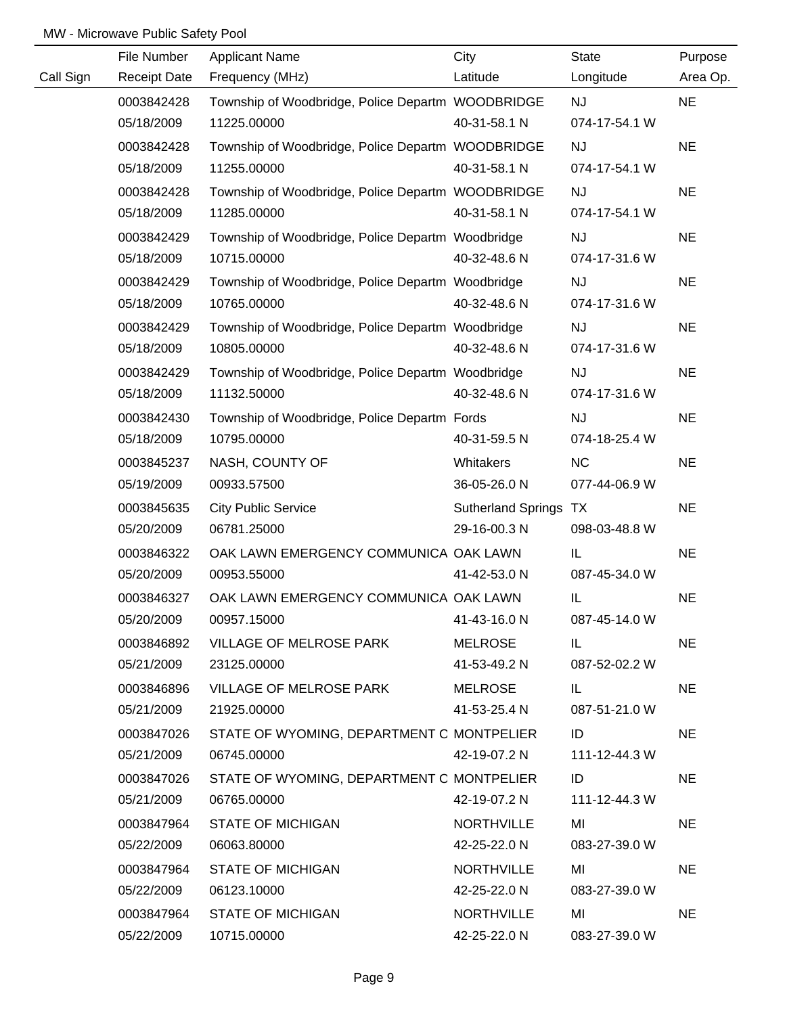|           | File Number         | <b>Applicant Name</b>                             | City                  | State         | Purpose   |
|-----------|---------------------|---------------------------------------------------|-----------------------|---------------|-----------|
| Call Sign | <b>Receipt Date</b> | Frequency (MHz)                                   | Latitude              | Longitude     | Area Op.  |
|           | 0003842428          | Township of Woodbridge, Police Departm WOODBRIDGE |                       | <b>NJ</b>     | <b>NE</b> |
|           | 05/18/2009          | 11225.00000                                       | 40-31-58.1 N          | 074-17-54.1 W |           |
|           | 0003842428          | Township of Woodbridge, Police Departm WOODBRIDGE |                       | <b>NJ</b>     | <b>NE</b> |
|           | 05/18/2009          | 11255.00000                                       | 40-31-58.1 N          | 074-17-54.1 W |           |
|           | 0003842428          | Township of Woodbridge, Police Departm WOODBRIDGE |                       | <b>NJ</b>     | <b>NE</b> |
|           | 05/18/2009          | 11285.00000                                       | 40-31-58.1 N          | 074-17-54.1 W |           |
|           | 0003842429          | Township of Woodbridge, Police Departm Woodbridge |                       | <b>NJ</b>     | <b>NE</b> |
|           | 05/18/2009          | 10715.00000                                       | 40-32-48.6 N          | 074-17-31.6 W |           |
|           | 0003842429          | Township of Woodbridge, Police Departm Woodbridge |                       | <b>NJ</b>     | <b>NE</b> |
|           | 05/18/2009          | 10765.00000                                       | 40-32-48.6 N          | 074-17-31.6 W |           |
|           | 0003842429          | Township of Woodbridge, Police Departm Woodbridge |                       | <b>NJ</b>     | <b>NE</b> |
|           | 05/18/2009          | 10805.00000                                       | 40-32-48.6 N          | 074-17-31.6 W |           |
|           | 0003842429          | Township of Woodbridge, Police Departm Woodbridge |                       | <b>NJ</b>     | <b>NE</b> |
|           | 05/18/2009          | 11132.50000                                       | 40-32-48.6 N          | 074-17-31.6 W |           |
|           | 0003842430          | Township of Woodbridge, Police Departm Fords      |                       | <b>NJ</b>     | <b>NE</b> |
|           | 05/18/2009          | 10795.00000                                       | 40-31-59.5 N          | 074-18-25.4 W |           |
|           | 0003845237          | NASH, COUNTY OF                                   | Whitakers             | <b>NC</b>     | <b>NE</b> |
|           | 05/19/2009          | 00933.57500                                       | 36-05-26.0 N          | 077-44-06.9 W |           |
|           | 0003845635          | <b>City Public Service</b>                        | Sutherland Springs TX |               | <b>NE</b> |
|           | 05/20/2009          | 06781.25000                                       | 29-16-00.3 N          | 098-03-48.8 W |           |
|           | 0003846322          | OAK LAWN EMERGENCY COMMUNICA OAK LAWN             |                       | IL            | <b>NE</b> |
|           | 05/20/2009          | 00953.55000                                       | 41-42-53.0 N          | 087-45-34.0 W |           |
|           | 0003846327          | OAK LAWN EMERGENCY COMMUNICA OAK LAWN             |                       | IL            | <b>NE</b> |
|           | 05/20/2009          | 00957.15000                                       | 41-43-16.0 N          | 087-45-14.0 W |           |
|           | 0003846892          | VILLAGE OF MELROSE PARK                           | <b>MELROSE</b>        | IL.           | <b>NE</b> |
|           | 05/21/2009          | 23125.00000                                       | 41-53-49.2 N          | 087-52-02.2 W |           |
|           | 0003846896          | VILLAGE OF MELROSE PARK                           | MELROSE               | IL.           | <b>NE</b> |
|           | 05/21/2009          | 21925.00000                                       | 41-53-25.4 N          | 087-51-21.0 W |           |
|           | 0003847026          | STATE OF WYOMING, DEPARTMENT C MONTPELIER         |                       | ID            | <b>NE</b> |
|           | 05/21/2009          | 06745.00000                                       | 42-19-07.2 N          | 111-12-44.3 W |           |
|           | 0003847026          | STATE OF WYOMING, DEPARTMENT C MONTPELIER         |                       | ID            | <b>NE</b> |
|           | 05/21/2009          | 06765.00000                                       | 42-19-07.2 N          | 111-12-44.3 W |           |
|           | 0003847964          | <b>STATE OF MICHIGAN</b>                          | <b>NORTHVILLE</b>     | MI            | <b>NE</b> |
|           | 05/22/2009          | 06063.80000                                       | 42-25-22.0 N          | 083-27-39.0 W |           |
|           | 0003847964          | <b>STATE OF MICHIGAN</b>                          | <b>NORTHVILLE</b>     | MI            | <b>NE</b> |
|           | 05/22/2009          | 06123.10000                                       | 42-25-22.0 N          | 083-27-39.0 W |           |
|           | 0003847964          | <b>STATE OF MICHIGAN</b>                          | <b>NORTHVILLE</b>     | MI            | <b>NE</b> |
|           | 05/22/2009          | 10715.00000                                       | 42-25-22.0 N          | 083-27-39.0 W |           |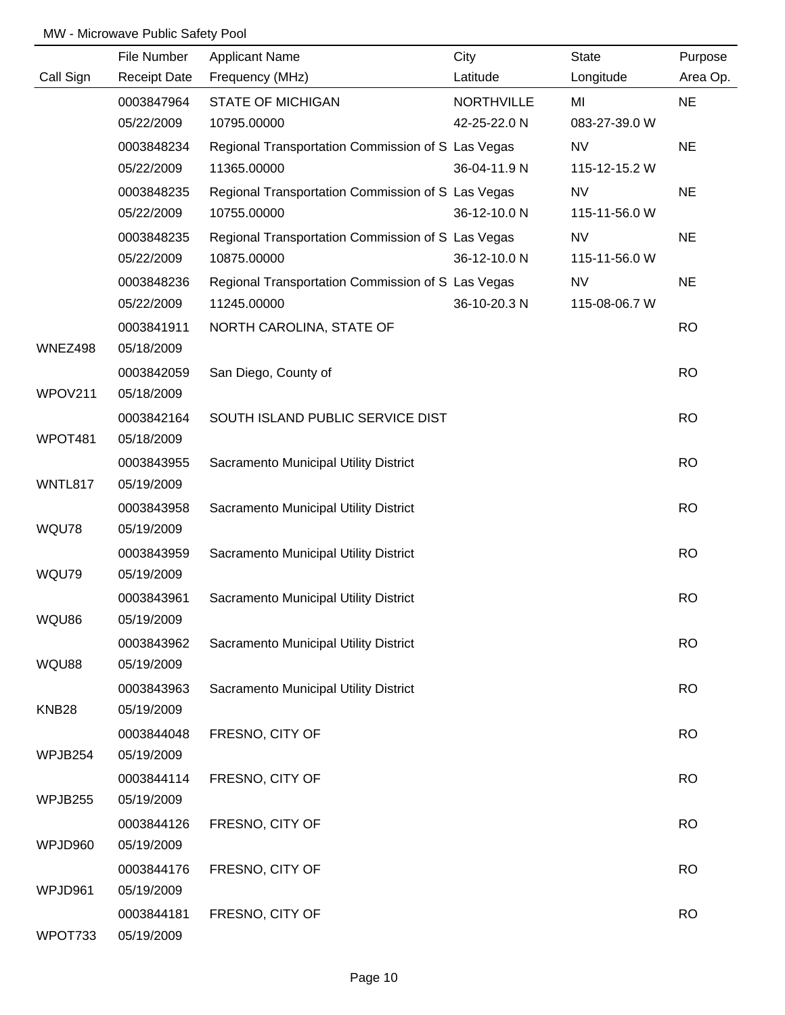|                                          | File Number                                                                                    | <b>Applicant Name</b>                                 | City              | <b>State</b>  | Purpose                             |
|------------------------------------------|------------------------------------------------------------------------------------------------|-------------------------------------------------------|-------------------|---------------|-------------------------------------|
| Call Sign                                | <b>Receipt Date</b>                                                                            | Frequency (MHz)                                       | Latitude          | Longitude     | Area Op.                            |
|                                          | 0003847964                                                                                     | <b>STATE OF MICHIGAN</b>                              | <b>NORTHVILLE</b> | MI            | <b>NE</b>                           |
|                                          | 05/22/2009                                                                                     | 10795.00000                                           | 42-25-22.0 N      | 083-27-39.0 W |                                     |
|                                          | 0003848234                                                                                     | Regional Transportation Commission of S Las Vegas     |                   | <b>NV</b>     | <b>NE</b>                           |
|                                          | 05/22/2009                                                                                     | 11365.00000                                           | 36-04-11.9 N      | 115-12-15.2 W |                                     |
|                                          | 0003848235                                                                                     | Regional Transportation Commission of S Las Vegas     |                   | <b>NV</b>     | <b>NE</b>                           |
|                                          | 05/22/2009                                                                                     | 10755.00000                                           | 36-12-10.0 N      | 115-11-56.0 W |                                     |
|                                          | 0003848235                                                                                     | Regional Transportation Commission of S Las Vegas     |                   | <b>NV</b>     | <b>NE</b>                           |
|                                          | 05/22/2009                                                                                     | 10875.00000                                           | 36-12-10.0 N      | 115-11-56.0 W |                                     |
|                                          | 0003848236                                                                                     | Regional Transportation Commission of S Las Vegas     |                   | <b>NV</b>     | <b>NE</b>                           |
|                                          | 05/22/2009                                                                                     | 11245.00000                                           | 36-10-20.3 N      | 115-08-06.7 W |                                     |
| WNEZ498                                  | 0003841911<br>05/18/2009                                                                       | NORTH CAROLINA, STATE OF                              |                   |               | <b>RO</b>                           |
|                                          | 0003842059                                                                                     | San Diego, County of                                  |                   |               | <b>RO</b>                           |
| WPOV211                                  | 05/18/2009                                                                                     |                                                       |                   |               |                                     |
|                                          | 0003842164                                                                                     | SOUTH ISLAND PUBLIC SERVICE DIST                      |                   |               | <b>RO</b>                           |
| WPOT481                                  | 05/18/2009                                                                                     |                                                       |                   |               |                                     |
|                                          | 0003843955                                                                                     | Sacramento Municipal Utility District                 |                   |               | <b>RO</b>                           |
| WNTL817                                  | 05/19/2009                                                                                     |                                                       |                   |               |                                     |
|                                          | 0003843958                                                                                     | Sacramento Municipal Utility District                 |                   |               | <b>RO</b>                           |
| WQU78                                    | 05/19/2009                                                                                     |                                                       |                   |               |                                     |
|                                          | 0003843959                                                                                     | Sacramento Municipal Utility District                 |                   |               | <b>RO</b>                           |
| WQU79                                    | 05/19/2009                                                                                     |                                                       |                   |               |                                     |
|                                          | 0003843961                                                                                     | Sacramento Municipal Utility District                 |                   |               | <b>RO</b>                           |
| WQU86                                    | 05/19/2009                                                                                     |                                                       |                   |               |                                     |
|                                          | 0003843962                                                                                     | Sacramento Municipal Utility District                 |                   |               | <b>RO</b>                           |
| WQU88                                    | 05/19/2009                                                                                     |                                                       |                   |               |                                     |
|                                          | 0003843963                                                                                     | Sacramento Municipal Utility District                 |                   |               | <b>RO</b>                           |
| KNB <sub>28</sub>                        | 05/19/2009                                                                                     |                                                       |                   |               |                                     |
|                                          | 0003844048                                                                                     | FRESNO, CITY OF                                       |                   |               | <b>RO</b>                           |
| WPJB254                                  | 05/19/2009                                                                                     |                                                       |                   |               |                                     |
|                                          | 0003844114                                                                                     | FRESNO, CITY OF                                       |                   |               | <b>RO</b>                           |
|                                          |                                                                                                |                                                       |                   |               |                                     |
|                                          |                                                                                                |                                                       |                   |               |                                     |
|                                          |                                                                                                |                                                       |                   |               |                                     |
|                                          |                                                                                                |                                                       |                   |               |                                     |
|                                          |                                                                                                |                                                       |                   |               |                                     |
|                                          |                                                                                                |                                                       |                   |               |                                     |
| WPJB255<br>WPJD960<br>WPJD961<br>WPOT733 | 05/19/2009<br>0003844126<br>05/19/2009<br>0003844176<br>05/19/2009<br>0003844181<br>05/19/2009 | FRESNO, CITY OF<br>FRESNO, CITY OF<br>FRESNO, CITY OF |                   |               | <b>RO</b><br><b>RO</b><br><b>RO</b> |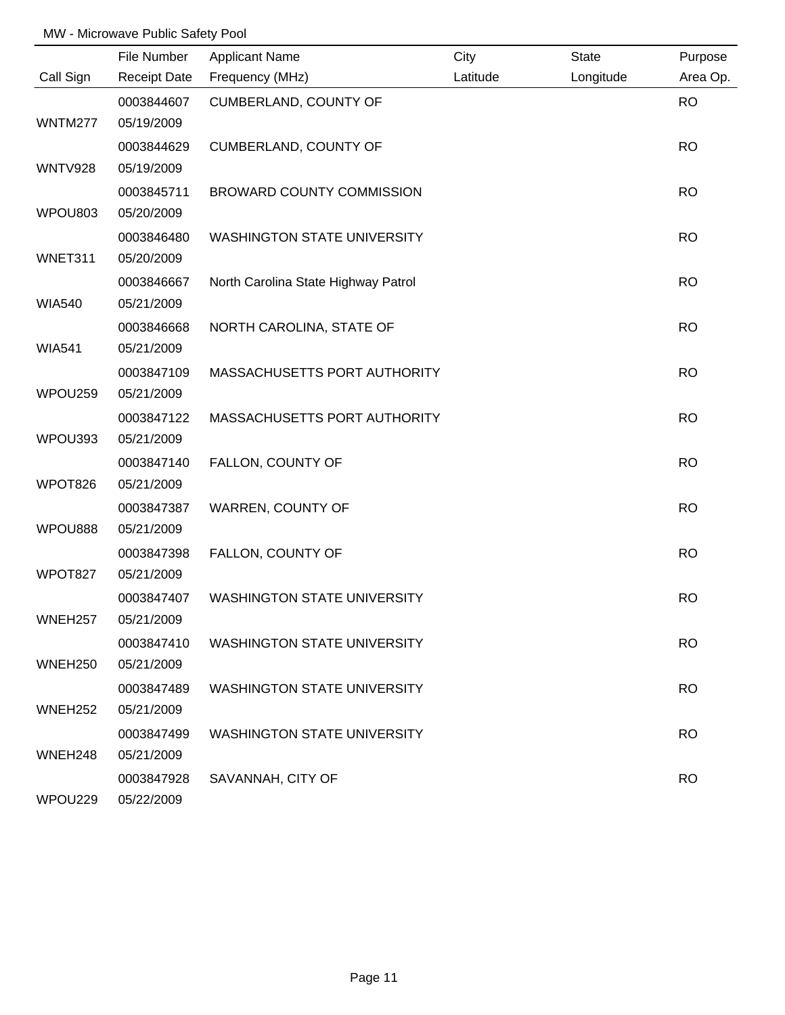|                     | File Number         | <b>Applicant Name</b>               | City     | State     | Purpose   |
|---------------------|---------------------|-------------------------------------|----------|-----------|-----------|
| Call Sign           | <b>Receipt Date</b> | Frequency (MHz)                     | Latitude | Longitude | Area Op.  |
|                     | 0003844607          | CUMBERLAND, COUNTY OF               |          |           | <b>RO</b> |
| WNTM277             | 05/19/2009          |                                     |          |           |           |
|                     | 0003844629          | CUMBERLAND, COUNTY OF               |          |           | <b>RO</b> |
| <b>WNTV928</b>      | 05/19/2009          |                                     |          |           |           |
|                     | 0003845711          | <b>BROWARD COUNTY COMMISSION</b>    |          |           | <b>RO</b> |
| WPOU803             | 05/20/2009          |                                     |          |           |           |
|                     | 0003846480          | <b>WASHINGTON STATE UNIVERSITY</b>  |          |           | <b>RO</b> |
| WNET311             | 05/20/2009          |                                     |          |           |           |
|                     | 0003846667          | North Carolina State Highway Patrol |          |           | <b>RO</b> |
| <b>WIA540</b>       | 05/21/2009          |                                     |          |           |           |
|                     | 0003846668          | NORTH CAROLINA, STATE OF            |          |           | <b>RO</b> |
| <b>WIA541</b>       | 05/21/2009          |                                     |          |           |           |
|                     | 0003847109          | MASSACHUSETTS PORT AUTHORITY        |          |           | <b>RO</b> |
| WPOU259             | 05/21/2009          |                                     |          |           |           |
|                     | 0003847122          | MASSACHUSETTS PORT AUTHORITY        |          |           | <b>RO</b> |
| WPOU393             | 05/21/2009          |                                     |          |           |           |
|                     | 0003847140          | FALLON, COUNTY OF                   |          |           | <b>RO</b> |
| WPOT826             | 05/21/2009          |                                     |          |           |           |
|                     | 0003847387          | WARREN, COUNTY OF                   |          |           | <b>RO</b> |
| WPOU888             | 05/21/2009          |                                     |          |           |           |
|                     | 0003847398          | FALLON, COUNTY OF                   |          |           | <b>RO</b> |
| WPOT827             | 05/21/2009          |                                     |          |           |           |
|                     | 0003847407          | <b>WASHINGTON STATE UNIVERSITY</b>  |          |           | <b>RO</b> |
| WNEH257             | 05/21/2009          |                                     |          |           |           |
|                     | 0003847410          | <b>WASHINGTON STATE UNIVERSITY</b>  |          |           | <b>RO</b> |
| WNEH <sub>250</sub> | 05/21/2009          |                                     |          |           |           |
|                     | 0003847489          | <b>WASHINGTON STATE UNIVERSITY</b>  |          |           | <b>RO</b> |
| WNEH <sub>252</sub> | 05/21/2009          |                                     |          |           |           |
|                     | 0003847499          | <b>WASHINGTON STATE UNIVERSITY</b>  |          |           | <b>RO</b> |
| WNEH <sub>248</sub> | 05/21/2009          |                                     |          |           |           |
|                     | 0003847928          | SAVANNAH, CITY OF                   |          |           | <b>RO</b> |
| WPOU229             | 05/22/2009          |                                     |          |           |           |